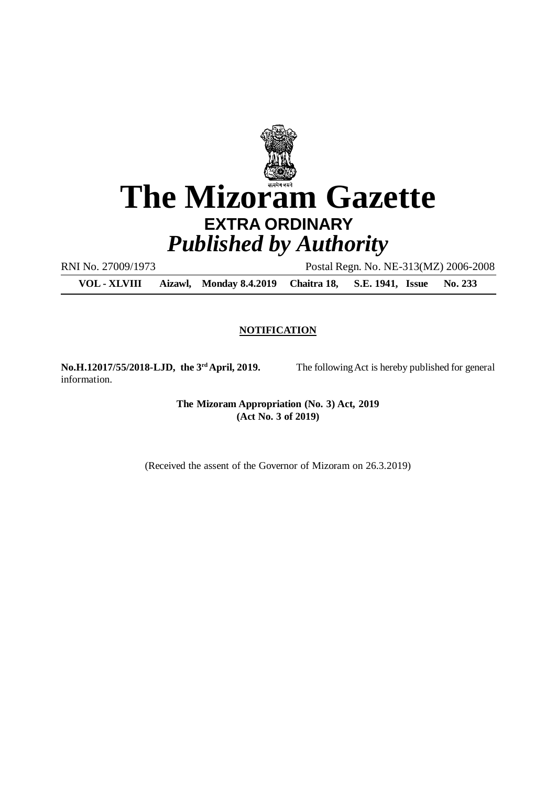

RNI No. 27009/1973 Postal Regn. No. NE-313(MZ) 2006-2008

**VOL - XLVIII Aizawl, Monday 8.4.2019 Chaitra 18, S.E. 1941, Issue No. 233**

#### **NOTIFICATION**

information.

**No.H.12017/55/2018-LJD, the 3rdApril, 2019.** The following Act is hereby published for general

**The Mizoram Appropriation (No. 3) Act, 2019 (Act No. 3 of 2019)**

(Received the assent of the Governor of Mizoram on 26.3.2019)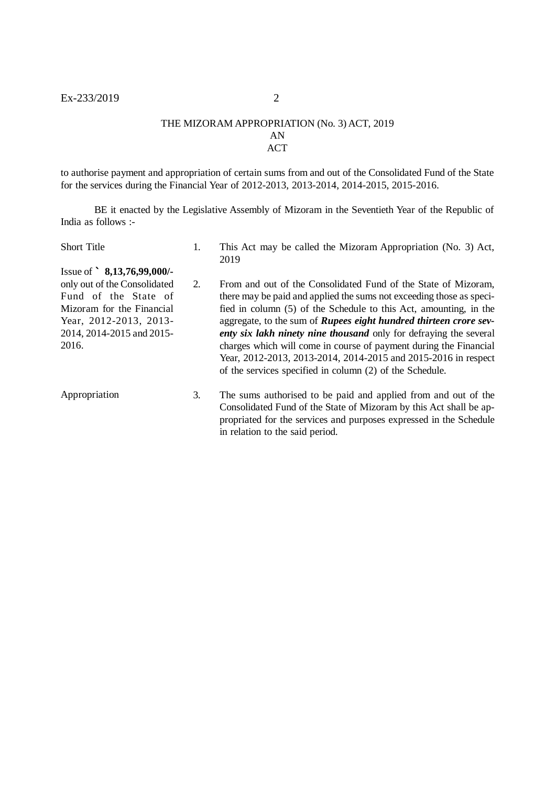#### THE MIZORAM APPROPRIATION (No. 3) ACT, 2019 AN ACT

to authorise payment and appropriation of certain sums from and out of the Consolidated Fund of the State for the services during the Financial Year of 2012-2013, 2013-2014, 2014-2015, 2015-2016.

BE it enacted by the Legislative Assembly of Mizoram in the Seventieth Year of the Republic of India as follows :-

| <b>Short Title</b>                                                                                                                                                                       | 1. | This Act may be called the Mizoram Appropriation (No. 3) Act,<br>2019                                                                                                                                                                                                                                                                                                                                                                                                                                                                                           |
|------------------------------------------------------------------------------------------------------------------------------------------------------------------------------------------|----|-----------------------------------------------------------------------------------------------------------------------------------------------------------------------------------------------------------------------------------------------------------------------------------------------------------------------------------------------------------------------------------------------------------------------------------------------------------------------------------------------------------------------------------------------------------------|
| Issue of $\degree$ 8,13,76,99,000/-<br>only out of the Consolidated<br>Fund of the State of<br>Mizoram for the Financial<br>Year, 2012-2013, 2013-<br>2014, 2014-2015 and 2015-<br>2016. | 2. | From and out of the Consolidated Fund of the State of Mizoram,<br>there may be paid and applied the sums not exceeding those as speci-<br>fied in column (5) of the Schedule to this Act, amounting, in the<br>aggregate, to the sum of <i>Rupees eight hundred thirteen crore sev-</i><br>enty six lakh ninety nine thousand only for defraying the several<br>charges which will come in course of payment during the Financial<br>Year, 2012-2013, 2013-2014, 2014-2015 and 2015-2016 in respect<br>of the services specified in column (2) of the Schedule. |
| Appropriation                                                                                                                                                                            | 3. | The sums authorised to be paid and applied from and out of the<br>Consolidated Fund of the State of Mizoram by this Act shall be ap-<br>propriated for the services and purposes expressed in the Schedule<br>in relation to the said period.                                                                                                                                                                                                                                                                                                                   |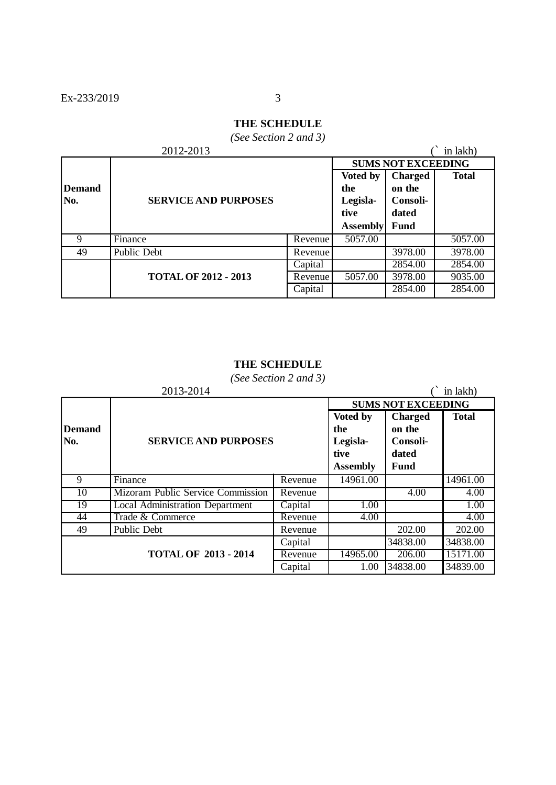# **THE SCHEDULE**

*(See Section 2 and 3)*

|               | 2012-2013                   |                           |                 |                | in lakh)     |
|---------------|-----------------------------|---------------------------|-----------------|----------------|--------------|
|               |                             | <b>SUMS NOT EXCEEDING</b> |                 |                |              |
|               |                             |                           | Voted by        | <b>Charged</b> | <b>Total</b> |
| <b>Demand</b> |                             |                           | the             | on the         |              |
| No.           | <b>SERVICE AND PURPOSES</b> |                           | Legisla-        | Consoli-       |              |
|               |                             |                           | tive            | dated          |              |
|               |                             |                           | <b>Assembly</b> | <b>Fund</b>    |              |
| 9             | Finance                     | Revenue                   | 5057.00         |                | 5057.00      |
| 49            | Public Debt                 | Revenue                   |                 | 3978.00        | 3978.00      |
|               |                             | Capital                   |                 | 2854.00        | 2854.00      |
|               | <b>TOTAL OF 2012 - 2013</b> | Revenue                   | 5057.00         | 3978.00        | 9035.00      |
|               |                             | Capital                   |                 | 2854.00        | 2854.00      |

## **THE SCHEDULE**

*(See Section 2 and 3)*

|                             | 2013-2014                              |                                                        |                                                       | in lakh)     |          |  |
|-----------------------------|----------------------------------------|--------------------------------------------------------|-------------------------------------------------------|--------------|----------|--|
|                             |                                        |                                                        | <b>SUMS NOT EXCEEDING</b>                             |              |          |  |
| <b>Demand</b><br>No.        | <b>SERVICE AND PURPOSES</b>            | Voted by<br>the<br>Legisla-<br>tive<br><b>Assembly</b> | <b>Charged</b><br>on the<br>Consoli-<br>dated<br>Fund | <b>Total</b> |          |  |
| 9                           | Finance                                | Revenue                                                | 14961.00                                              |              | 14961.00 |  |
| 10                          | Mizoram Public Service Commission      | Revenue                                                |                                                       | 4.00         | 4.00     |  |
| 19                          | <b>Local Administration Department</b> | Capital                                                | 1.00                                                  |              | 1.00     |  |
| 44                          | Trade & Commerce                       | Revenue                                                | 4.00                                                  |              | 4.00     |  |
| 49                          | Public Debt                            | Revenue                                                |                                                       | 202.00       | 202.00   |  |
| <b>TOTAL OF 2013 - 2014</b> |                                        | Capital                                                |                                                       | 34838.00     | 34838.00 |  |
|                             |                                        | Revenue                                                | 14965.00                                              | 206.00       | 15171.00 |  |
|                             |                                        | Capital                                                | 1.00                                                  | 34838.00     | 34839.00 |  |